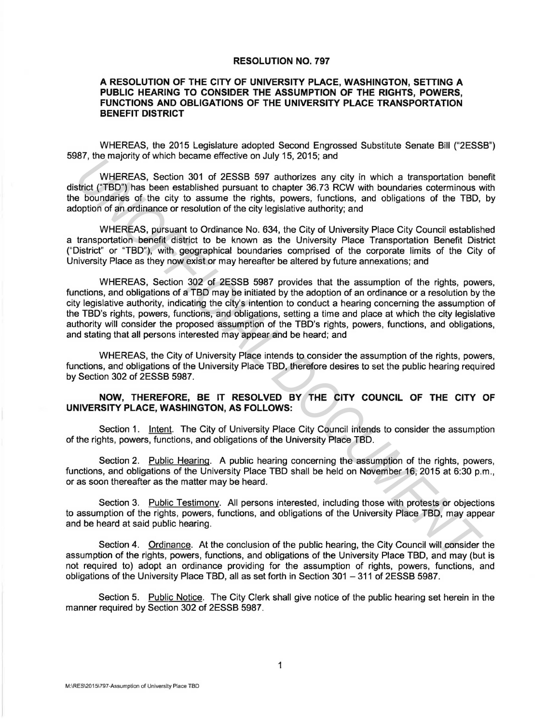## RESOLUTION NO. 797

## A RESOLUTION OF THE CITY OF UNIVERSITY PLACE, WASHINGTON, SETTING A PUBLIC HEARING TO CONSIDER THE ASSUMPTION OF THE RIGHTS, POWERS, FUNCTIONS AND OBLIGATIONS OF THE UNIVERSITY PLACE TRANSPORTATION BENEFIT DISTRICT

WHEREAS, the 2015 Legislature adopted Second Engrossed Substitute Senate Bill ("2ESSB") 5987, the majority of which became effective on July 15, 2015; and

WHEREAS, Section 301 of 2ESSB 597 authorizes any city in which a transportation benefit district ("TBD") has been established pursuant to chapter 36. 73 RCW with boundaries coterminous with the boundaries of the city to assume the rights, powers, functions, and obligations of the TBD, by adoption of an ordinance or resolution of the city legislative authority; and

WHEREAS, pursuant to Ordinance No. 634, the City of University Place City Council established a transportation benefit district to be known as the University Place Transportation Benefit District ("District" or "TBD"), with geographical boundaries comprised of the corporate limits of the City of University Place as they now exist or may hereafter be altered by future annexations; and

WHEREAS, Section 302 of 2ESSB 5987 provides that the assumption of the rights, powers, functions, and obligations of a TBD may be initiated by the adoption of an ordinance or a resolution by the city legislative authority, indicating the city's intention to conduct a hearing concerning the assumption of the TBD's rights, powers, functions, and obligations, setting a time and place at which the city legislative authority will consider the proposed assumption of the TBD's rights, powers, functions, and obligations, and stating that all persons interested may appear and be heard; and *UNHEREAS*, Section 301 of 2ESSB 597 authorizes any city in which a transportation be<br>the WHEREAS, Section 301 of 2ESSB 597 authorizes any city in which a transportation be<br>electivated pursuant to chapter 36.73 RCM with bo

WHEREAS, the City of University Place intends to consider the assumption of the rights, powers, functions, and obligations of the University Place TBD, therefore desires to set the public hearing required by Section 302 of 2ESSB 5987.

## NOW, THEREFORE, BE IT RESOLVED BY THE CITY COUNCIL OF THE CITY OF UNIVERSITY PLACE, WASHINGTON, AS FOLLOWS:

Section 1. Intent. The City of University Place City Council intends to consider the assumption of the rights, powers, functions, and obligations of the University Place TBD.

Section 2. Public Hearing. A public hearing concerning the assumption of the rights, powers, functions, and obligations of the University Place TBD shall be held on November 16, 2015 at 6:30 p.m., or as soon thereafter as the matter may be heard.

Section 3. Public Testimony. All persons interested, including those with protests or objections to assumption of the rights, powers, functions, and obligations of the University Place TBD, may appear and be heard at said public hearing.

Section 4. Ordinance. At the conclusion of the public hearing, the City Council will consider the assumption of the rights, powers, functions, and obligations of the University Place TBD, and may (but is not required to) adopt an ordinance providing for the assumption of rights, powers, functions, and obligations of the University Place TBD, all as set forth in Section 301 - 311 of 2ESSB 5987.

Section 5. Public Notice. The City Clerk shall give notice of the public hearing set herein in the manner required by Section 302 of 2ESSB 5987.